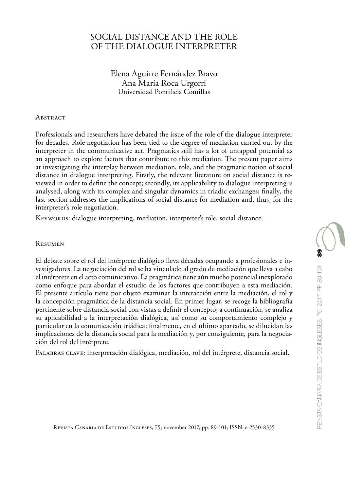# SOCIAL DISTANCE AND THE ROLE OF THE DIALOGUE INTERPRETER

Elena Aguirre Fernández Bravo Ana María Roca Urgorri Universidad Pontificia Comillas

#### **ABSTRACT**

Professionals and researchers have debated the issue of the role of the dialogue interpreter for decades. Role negotiation has been tied to the degree of mediation carried out by the interpreter in the communicative act. Pragmatics still has a lot of untapped potential as an approach to explore factors that contribute to this mediation. The present paper aims at investigating the interplay between mediation, role, and the pragmatic notion of social distance in dialogue interpreting. Firstly, the relevant literature on social distance is reviewed in order to define the concept; secondly, its applicability to dialogue interpreting is analysed, along with its complex and singular dynamics in triadic exchanges; finally, the last section addresses the implications of social distance for mediation and, thus, for the interpreter's role negotiation.

KEYWORDS: dialogue interpreting, mediation, interpreter's role, social distance.

#### Resumen

El debate sobre el rol del intérprete dialógico lleva décadas ocupando a profesionales e investigadores. La negociación del rol se ha vinculado al grado de mediación que lleva a cabo el intérprete en el acto comunicativo. La pragmática tiene aún mucho potencial inexplorado como enfoque para abordar el estudio de los factores que contribuyen a esta mediación. El presente artículo tiene por objeto examinar la interacción entre la mediación, el rol y la concepción pragmática de la distancia social. En primer lugar, se recoge la bibliografía pertinente sobre distancia social con vistas a definir el concepto; a continuación, se analiza su aplicabilidad a la interpretación dialógica, así como su comportamiento complejo y particular en la comunicación triádica; finalmente, en el último apartado, se dilucidan las implicaciones de la distancia social para la mediación y, por consiguiente, para la negociación del rol del intérprete.

Palabras clave: interpretación dialógica, mediación, rol del intérprete, distancia social.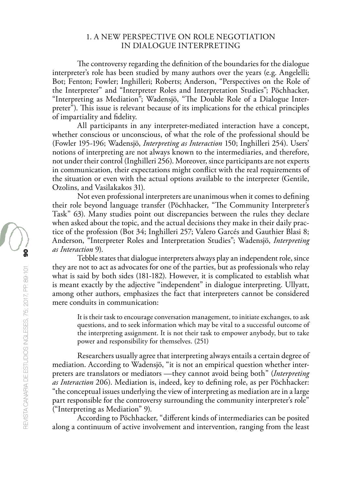## 1. A NEW PERSPECTIVE ON ROLE NEGOTIATION IN DIALOGUE INTERPRETING

The controversy regarding the definition of the boundaries for the dialogue interpreter's role has been studied by many authors over the years (e.g. Angelelli; Bot; Fenton; Fowler; Inghilleri; Roberts; Anderson, "Perspectives on the Role of the Interpreter" and "Interpreter Roles and Interpretation Studies"; Pöchhacker, "Interpreting as Mediation"; Wadensjö, "The Double Role of a Dialogue Interpreter<sup>"</sup>). This issue is relevant because of its implications for the ethical principles of impartiality and fidelity.

All participants in any interpreter-mediated interaction have a concept, whether conscious or unconscious, of what the role of the professional should be (Fowler 195-196; Wadensjö, *Interpreting as Interaction* 150; Inghilleri 254). Users' notions of interpreting are not always known to the intermediaries, and therefore, not under their control (Inghilleri 256). Moreover, since participants are not experts in communication, their expectations might conflict with the real requirements of the situation or even with the actual options available to the interpreter (Gentile, Ozolins, and Vasilakakos 31).

Not even professional interpreters are unanimous when it comes to defining their role beyond language transfer (Pöchhacker, "The Community Interpreter's Task" 63). Many studies point out discrepancies between the rules they declare when asked about the topic, and the actual decisions they make in their daily practice of the profession (Bot 34; Inghilleri 257; Valero Garcés and Gauthier Blasi 8; Anderson, "Interpreter Roles and Interpretation Studies"; Wadensjö, *Interpreting as Interaction* 9).

Tebble states that dialogue interpreters always play an independent role, since they are not to act as advocates for one of the parties, but as professionals who relay what is said by both sides (181-182). However, it is complicated to establish what is meant exactly by the adjective "independent" in dialogue interpreting. Ullyatt, among other authors, emphasizes the fact that interpreters cannot be considered mere conduits in communication:

It is their task to encourage conversation management, to initiate exchanges, to ask questions, and to seek information which may be vital to a successful outcome of the interpreting assignment. It is not their task to empower anybody, but to take power and responsibility for themselves. (251)

Researchers usually agree that interpreting always entails a certain degree of mediation. According to Wadensjö, "it is not an empirical question whether interpreters are translators or mediators —they cannot avoid being both" (*Interpreting as Interaction* 206). Mediation is, indeed, key to defining role, as per Pöchhacker: "the conceptual issues underlying the view of interpreting as mediation are in a large part responsible for the controversy surrounding the community interpreter's role" ("Interpreting as Mediation" 9).

According to Pöchhacker, "different kinds of intermediaries can be posited along a continuum of active involvement and intervention, ranging from the least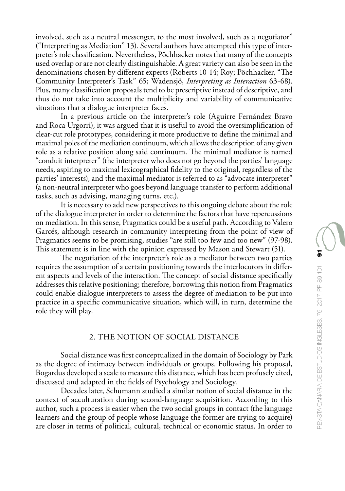involved, such as a neutral messenger, to the most involved, such as a negotiator" ("Interpreting as Mediation" 13). Several authors have attempted this type of interpreter's role classification. Nevertheless, Pöchhacker notes that many of the concepts used overlap or are not clearly distinguishable. A great variety can also be seen in the denominations chosen by different experts (Roberts 10-14; Roy; Pöchhacker, "The Community Interpreter's Task" 65; Wadensjö, *Interpreting as Interaction* 63-68). Plus, many classification proposals tend to be prescriptive instead of descriptive, and thus do not take into account the multiplicity and variability of communicative situations that a dialogue interpreter faces.

In a previous article on the interpreter's role (Aguirre Fernández Bravo and Roca Urgorri), it was argued that it is useful to avoid the oversimplification of clear-cut role prototypes, considering it more productive to define the minimal and maximal poles of the mediation continuum, which allows the description of any given role as a relative position along said continuum. The minimal mediator is named "conduit interpreter" (the interpreter who does not go beyond the parties' language needs, aspiring to maximal lexicographical fidelity to the original, regardless of the parties' interests), and the maximal mediator is referred to as "advocate interpreter" (a non-neutral interpreter who goes beyond language transfer to perform additional tasks, such as advising, managing turns, etc.).

It is necessary to add new perspectives to this ongoing debate about the role of the dialogue interpreter in order to determine the factors that have repercussions on mediation. In this sense, Pragmatics could be a useful path. According to Valero Garcés, although research in community interpreting from the point of view of Pragmatics seems to be promising, studies "are still too few and too new" (97-98). This statement is in line with the opinion expressed by Mason and Stewart (51).

The negotiation of the interpreter's role as a mediator between two parties requires the assumption of a certain positioning towards the interlocutors in different aspects and levels of the interaction. The concept of social distance specifically addresses this relative positioning; therefore, borrowing this notion from Pragmatics could enable dialogue interpreters to assess the degree of mediation to be put into practice in a specific communicative situation, which will, in turn, determine the role they will play.

### 2. THE NOTION OF SOCIAL DISTANCE

Social distance was first conceptualized in the domain of Sociology by Park as the degree of intimacy between individuals or groups. Following his proposal, Bogardus developed a scale to measure this distance, which has been profusely cited, discussed and adapted in the fields of Psychology and Sociology.

Decades later, Schumann studied a similar notion of social distance in the context of acculturation during second-language acquisition. According to this author, such a process is easier when the two social groups in contact (the language learners and the group of people whose language the former are trying to acquire) are closer in terms of political, cultural, technical or economic status. In order to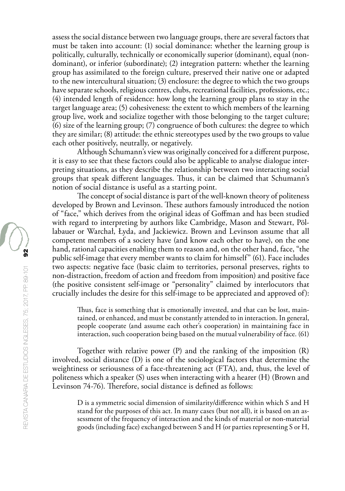assess the social distance between two language groups, there are several factors that must be taken into account: (1) social dominance: whether the learning group is politically, culturally, technically or economically superior (dominant), equal (nondominant), or inferior (subordinate); (2) integration pattern: whether the learning group has assimilated to the foreign culture, preserved their native one or adapted to the new intercultural situation; (3) enclosure: the degree to which the two groups have separate schools, religious centres, clubs, recreational facilities, professions, etc.; (4) intended length of residence: how long the learning group plans to stay in the target language area; (5) cohesiveness: the extent to which members of the learning group live, work and socialize together with those belonging to the target culture; (6) size of the learning group; (7) congruence of both cultures: the degree to which they are similar; (8) attitude: the ethnic stereotypes used by the two groups to value each other positively, neutrally, or negatively.

Although Schumann's view was originally conceived for a different purpose, it is easy to see that these factors could also be applicable to analyse dialogue interpreting situations, as they describe the relationship between two interacting social groups that speak different languages. Thus, it can be claimed that Schumann's notion of social distance is useful as a starting point.

The concept of social distance is part of the well-known theory of politeness developed by Brown and Levinson. These authors famously introduced the notion of "face," which derives from the original ideas of Goffman and has been studied with regard to interpreting by authors like Cambridge, Mason and Stewart, Pöllabauer or Warchał, Łyda, and Jackiewicz. Brown and Levinson assume that all competent members of a society have (and know each other to have), on the one hand, rational capacities enabling them to reason and, on the other hand, face, "the public self-image that every member wants to claim for himself" (61). Face includes two aspects: negative face (basic claim to territories, personal preserves, rights to non-distraction, freedom of action and freedom from imposition) and positive face (the positive consistent self-image or "personality" claimed by interlocutors that crucially includes the desire for this self-image to be appreciated and approved of):

Thus, face is something that is emotionally invested, and that can be lost, maintained, or enhanced, and must be constantly attended to in interaction. In general, people cooperate (and assume each other's cooperation) in maintaining face in interaction, such cooperation being based on the mutual vulnerability of face. (61)

Together with relative power (P) and the ranking of the imposition (R) involved, social distance (D) is one of the sociological factors that determine the weightiness or seriousness of a face-threatening act (FTA), and, thus, the level of politeness which a speaker (S) uses when interacting with a hearer (H) (Brown and Levinson 74-76). Therefore, social distance is defined as follows:

D is a symmetric social dimension of similarity/difference within which S and H stand for the purposes of this act. In many cases (but not all), it is based on an assessment of the frequency of interaction and the kinds of material or non-material goods (including face) exchanged between S and H (or parties representing S or H,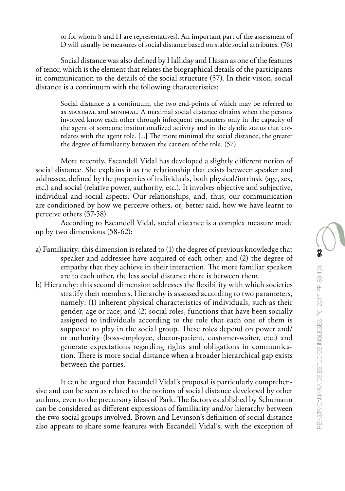or for whom S and H are representatives). An important part of the assessment of D will usually be measures of social distance based on stable social attributes. (76)

Social distance was also defined by Halliday and Hasan as one of the features of tenor, which is the element that relates the biographical details of the participants in communication to the details of the social structure (57). In their vision, social distance is a continuum with the following characteristics:

Social distance is a continuum, the two end-points of which may be referred to as maximal and minimal. A maximal social distance obtains when the persons involved know each other through infrequent encounters only in the capacity of the agent of someone institutionalized activity and in the dyadic status that correlates with the agent role. [...] The more minimal the social distance, the greater the degree of familiarity between the carriers of the role. (57)

More recently, Escandell Vidal has developed a slightly different notion of social distance. She explains it as the relationship that exists between speaker and addressee, defined by the properties of individuals, both physical/intrinsic (age, sex, etc.) and social (relative power, authority, etc.). It involves objective and subjective, individual and social aspects. Our relationships, and, thus, our communication are conditioned by how we perceive others, or, better said, how we have learnt to perceive others (57-58).

According to Escandell Vidal, social distance is a complex measure made up by two dimensions (58-62):

- a) Familiarity: this dimension is related to (1) the degree of previous knowledge that speaker and addressee have acquired of each other; and (2) the degree of empathy that they achieve in their interaction. The more familiar speakers are to each other, the less social distance there is between them.
- b) Hierarchy: this second dimension addresses the flexibility with which societies stratify their members. Hierarchy is assessed according to two parameters, namely: (1) inherent physical characteristics of individuals, such as their gender, age or race; and (2) social roles, functions that have been socially assigned to individuals according to the role that each one of them is supposed to play in the social group. These roles depend on power and/ or authority (boss-employee, doctor-patient, customer-waiter, etc.) and generate expectations regarding rights and obligations in communication. There is more social distance when a broader hierarchical gap exists between the parties.

It can be argued that Escandell Vidal's proposal is particularly comprehensive and can be seen as related to the notions of social distance developed by other authors, even to the precursory ideas of Park. The factors established by Schumann can be considered as different expressions of familiarity and/or hierarchy between the two social groups involved. Brown and Levinson's definition of social distance also appears to share some features with Escandell Vidal's, with the exception of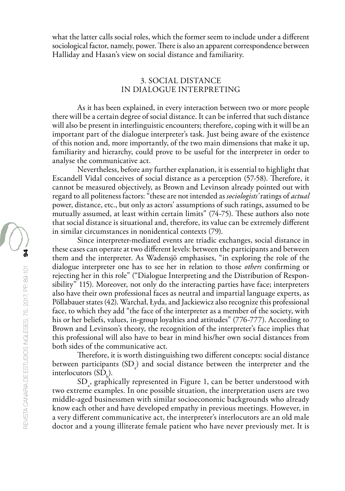what the latter calls social roles, which the former seem to include under a different sociological factor, namely, power. There is also an apparent correspondence between Halliday and Hasan's view on social distance and familiarity.

## 3. SOCIAL DISTANCE IN DIALOGUE INTERPRETING

As it has been explained, in every interaction between two or more people there will be a certain degree of social distance. It can be inferred that such distance will also be present in interlinguistic encounters; therefore, coping with it will be an important part of the dialogue interpreter's task. Just being aware of the existence of this notion and, more importantly, of the two main dimensions that make it up, familiarity and hierarchy, could prove to be useful for the interpreter in order to analyse the communicative act.

Nevertheless, before any further explanation, it is essential to highlight that Escandell Vidal conceives of social distance as a perception (57-58). Therefore, it cannot be measured objectively, as Brown and Levinson already pointed out with regard to all politeness factors: "these are not intended as *sociologists'* ratings of *actual* power, distance, etc., but only as actors' assumptions of such ratings, assumed to be mutually assumed, at least within certain limits" (74-75). These authors also note that social distance is situational and, therefore, its value can be extremely different in similar circumstances in nonidentical contexts (79).

Since interpreter-mediated events are triadic exchanges, social distance in these cases can operate at two different levels: between the participants and between them and the interpreter. As Wadensjö emphasises, "in exploring the role of the dialogue interpreter one has to see her in relation to those *others* confirming or rejecting her in this role" ("Dialogue Interpreting and the Distribution of Responsibility" 115). Moreover, not only do the interacting parties have face; interpreters also have their own professional faces as neutral and impartial language experts, as Pöllabauer states (42). Warchał, Łyda, and Jackiewicz also recognize this professional face, to which they add "the face of the interpreter as a member of the society, with his or her beliefs, values, in-group loyalties and attitudes" (776-777). According to Brown and Levinson's theory, the recognition of the interpreter's face implies that this professional will also have to bear in mind his/her own social distances from both sides of the communicative act.

Therefore, it is worth distinguishing two different concepts: social distance between participants  $\text{(SD)}_{\scriptscriptstyle{a}}$  and social distance between the interpreter and the interlocutors  $(SD_b)$ .

 $SD_{a}$ , graphically represented in Figure 1, can be better understood with two extreme examples. In one possible situation, the interpretation users are two middle-aged businessmen with similar socioeconomic backgrounds who already know each other and have developed empathy in previous meetings. However, in a very different communicative act, the interpreter's interlocutors are an old male doctor and a young illiterate female patient who have never previously met. It is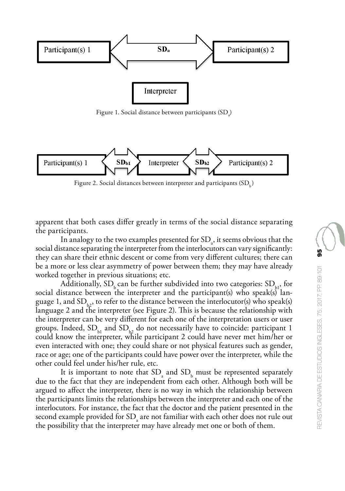

Figure 1. Social distance between participants  $\text{(SD}_{\scriptscriptstyle{a}}\text{)}$ 



Figure 2. Social distances between interpreter and participants  $(SD)$ 

apparent that both cases differ greatly in terms of the social distance separating the participants.

In analogy to the two examples presented for  $SD_{a}$ , it seems obvious that the social distance separating the interpreter from the interlocutors can vary significantly: they can share their ethnic descent or come from very different cultures; there can be a more or less clear asymmetry of power between them; they may have already worked together in previous situations; etc.

Additionally,  $SD_k$  can be further subdivided into two categories:  $SD_{k1}$ , for social distance between the interpreter and the participant(s) who speak(s) language 1, and  $SD_{k_2}$ , to refer to the distance between the interlocutor(s) who speak(s) language 2 and the interpreter (see Figure 2). This is because the relationship with the interpreter can be very different for each one of the interpretation users or user groups. Indeed,  $SD<sub>b1</sub>$  and  $SD<sub>b2</sub>$  do not necessarily have to coincide: participant 1 could know the interpreter, while participant 2 could have never met him/her or even interacted with one; they could share or not physical features such as gender, race or age; one of the participants could have power over the interpreter, while the other could feel under his/her rule, etc.

It is important to note that  $SD_a$  and  $SD_b$  must be represented separately due to the fact that they are independent from each other. Although both will be argued to affect the interpreter, there is no way in which the relationship between the participants limits the relationships between the interpreter and each one of the interlocutors. For instance, the fact that the doctor and the patient presented in the  $\epsilon$  second example provided for  $SD_{a}$  are not familiar with each other does not rule out the possibility that the interpreter may have already met one or both of them.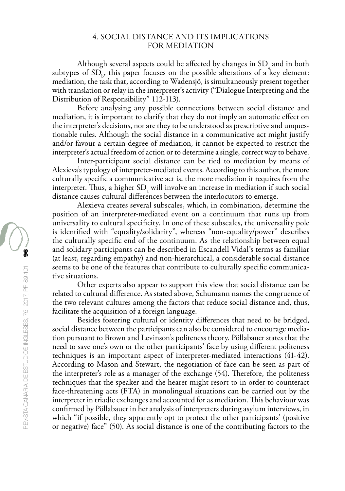### 4. SOCIAL DISTANCE AND ITS IMPLICATIONS FOR MEDIATION

Although several aspects could be affected by changes in  $SD_a$  and in both subtypes of  $SD_{b}$ , this paper focuses on the possible alterations of a key element: mediation, the task that, according to Wadensjö, is simultaneously present together with translation or relay in the interpreter's activity ("Dialogue Interpreting and the Distribution of Responsibility" 112-113).

Before analysing any possible connections between social distance and mediation, it is important to clarify that they do not imply an automatic effect on the interpreter's decisions, nor are they to be understood as prescriptive and unquestionable rules. Although the social distance in a communicative act might justify and/or favour a certain degree of mediation, it cannot be expected to restrict the interpreter's actual freedom of action or to determine a single, correct way to behave.

Inter-participant social distance can be tied to mediation by means of Alexieva's typology of interpreter-mediated events. According to this author, the more culturally specific a communicative act is, the more mediation it requires from the interpreter. Thus, a higher  $SD_{a}$  will involve an increase in mediation if such social distance causes cultural differences between the interlocutors to emerge.

Alexieva creates several subscales, which, in combination, determine the position of an interpreter-mediated event on a continuum that runs up from universality to cultural specificity. In one of these subscales, the universality pole is identified with "equality/solidarity", whereas "non-equality/power" describes the culturally specific end of the continuum. As the relationship between equal and solidary participants can be described in Escandell Vidal's terms as familiar (at least, regarding empathy) and non-hierarchical, a considerable social distance seems to be one of the features that contribute to culturally specific communicative situations.

Other experts also appear to support this view that social distance can be related to cultural difference. As stated above, Schumann names the congruence of the two relevant cultures among the factors that reduce social distance and, thus, facilitate the acquisition of a foreign language.

Besides fostering cultural or identity differences that need to be bridged, social distance between the participants can also be considered to encourage mediation pursuant to Brown and Levinson's politeness theory. Pöllabauer states that the need to save one's own or the other participants' face by using different politeness techniques is an important aspect of interpreter-mediated interactions (41-42). According to Mason and Stewart, the negotiation of face can be seen as part of the interpreter's role as a manager of the exchange (54). Therefore, the politeness techniques that the speaker and the hearer might resort to in order to counteract face-threatening acts (FTA) in monolingual situations can be carried out by the interpreter in triadic exchanges and accounted for as mediation. This behaviour was confirmed by Pöllabauer in her analysis of interpreters during asylum interviews, in which "if possible, they apparently opt to protect the other participants' (positive or negative) face" (50). As social distance is one of the contributing factors to the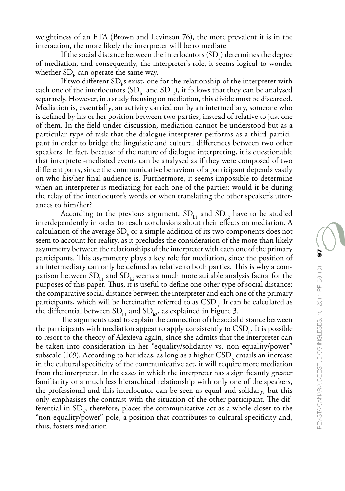weightiness of an FTA (Brown and Levinson 76), the more prevalent it is in the interaction, the more likely the interpreter will be to mediate.

If the social distance between the interlocutors  $(SD<sub>a</sub>)$  determines the degree of mediation, and consequently, the interpreter's role, it seems logical to wonder whether  $SD<sub>b</sub>$  can operate the same way.

If two different  $SD<sub>b</sub>$ s exist, one for the relationship of the interpreter with each one of the interlocutors  $(SD_{b1}$  and  $SD_{b2}$ ), it follows that they can be analysed separately. However, in a study focusing on mediation, this divide must be discarded. Mediation is, essentially, an activity carried out by an intermediary, someone who is defined by his or her position between two parties, instead of relative to just one of them. In the field under discussion, mediation cannot be understood but as a particular type of task that the dialogue interpreter performs as a third participant in order to bridge the linguistic and cultural differences between two other speakers. In fact, because of the nature of dialogue interpreting, it is questionable that interpreter-mediated events can be analysed as if they were composed of two different parts, since the communicative behaviour of a participant depends vastly on who his/her final audience is. Furthermore, it seems impossible to determine when an interpreter is mediating for each one of the parties: would it be during the relay of the interlocutor's words or when translating the other speaker's utterances to him/her?

According to the previous argument,  $SD<sub>b1</sub>$  and  $SD<sub>b2</sub>$  have to be studied interdependently in order to reach conclusions about their effects on mediation. A calculation of the average  $SD<sub>b</sub>$  or a simple addition of its two components does not seem to account for reality, as it precludes the consideration of the more than likely asymmetry between the relationships of the interpreter with each one of the primary participants. This asymmetry plays a key role for mediation, since the position of an intermediary can only be defined as relative to both parties. This is why a comparison between  $SD<sub>b1</sub>$  and  $SD<sub>b2</sub>$  seems a much more suitable analysis factor for the purposes of this paper. Thus, it is useful to define one other type of social distance: the comparative social distance between the interpreter and each one of the primary participants, which will be hereinafter referred to as  $\mathrm{CSD}_{\mathrm{b}}$ . It can be calculated as the differential between  $SD<sub>b1</sub>$  and  $SD<sub>b2</sub>$ , as explained in Figure 3.

The arguments used to explain the connection of the social distance between the participants with mediation appear to apply consistently to  $\mathrm{CSD}_{\mathrm{b}}$ . It is possible to resort to the theory of Alexieva again, since she admits that the interpreter can be taken into consideration in her "equality/solidarity vs. non-equality/power" subscale (169). According to her ideas, as long as a higher  $\mathrm{CSD}_\mathrm{b}$  entails an increase in the cultural specificity of the communicative act, it will require more mediation from the interpreter. In the cases in which the interpreter has a significantly greater familiarity or a much less hierarchical relationship with only one of the speakers, the professional and this interlocutor can be seen as equal and solidary, but this only emphasises the contrast with the situation of the other participant. The differential in  $SD_b$ , therefore, places the communicative act as a whole closer to the "non-equality/power" pole, a position that contributes to cultural specificity and, thus, fosters mediation.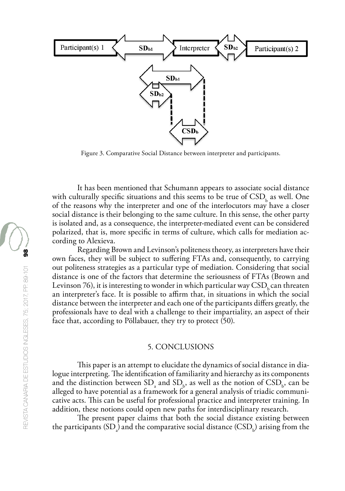

Figure 3. Comparative Social Distance between interpreter and participants.

It has been mentioned that Schumann appears to associate social distance with culturally specific situations and this seems to be true of  $\mathrm{CSD}_\mathrm{b}$  as well. One of the reasons why the interpreter and one of the interlocutors may have a closer social distance is their belonging to the same culture. In this sense, the other party is isolated and, as a consequence, the interpreter-mediated event can be considered polarized, that is, more specific in terms of culture, which calls for mediation according to Alexieva.

Regarding Brown and Levinson's politeness theory, as interpreters have their own faces, they will be subject to suffering FTAs and, consequently, to carrying out politeness strategies as a particular type of mediation. Considering that social distance is one of the factors that determine the seriousness of FTAs (Brown and Levinson 76), it is interesting to wonder in which particular way  $\mathrm{CSD}_{k}$  can threaten an interpreter's face. It is possible to affirm that, in situations in which the social distance between the interpreter and each one of the participants differs greatly, the professionals have to deal with a challenge to their impartiality, an aspect of their face that, according to Pöllabauer, they try to protect (50).

### 5. CONCLUSIONS

This paper is an attempt to elucidate the dynamics of social distance in dialogue interpreting. The identification of familiarity and hierarchy as its components and the distinction between  $SD_a$  and  $SD_b$ , as well as the notion of  $CSD_b$ , can be alleged to have potential as a framework for a general analysis of triadic communicative acts. This can be useful for professional practice and interpreter training. In addition, these notions could open new paths for interdisciplinary research.

The present paper claims that both the social distance existing between the participants  $\mathrm{(SD}_{\scriptscriptstyle{a}})$  and the comparative social distance  $\mathrm{(CSD}_{\scriptscriptstyle{b}})$  arising from the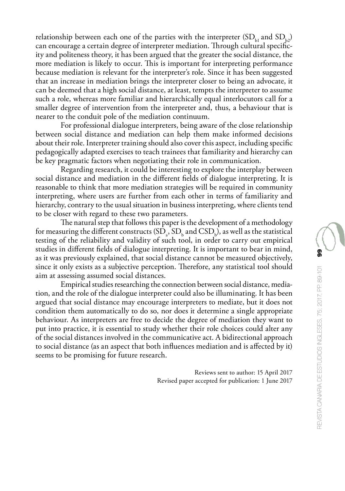relationship between each one of the parties with the interpreter  $(SD_{b}$  and  $SD_{b}$ ) can encourage a certain degree of interpreter mediation. Through cultural specificity and politeness theory, it has been argued that the greater the social distance, the more mediation is likely to occur. This is important for interpreting performance because mediation is relevant for the interpreter's role. Since it has been suggested that an increase in mediation brings the interpreter closer to being an advocate, it can be deemed that a high social distance, at least, tempts the interpreter to assume such a role, whereas more familiar and hierarchically equal interlocutors call for a smaller degree of intervention from the interpreter and, thus, a behaviour that is nearer to the conduit pole of the mediation continuum.

For professional dialogue interpreters, being aware of the close relationship between social distance and mediation can help them make informed decisions about their role. Interpreter training should also cover this aspect, including specific pedagogically adapted exercises to teach trainees that familiarity and hierarchy can be key pragmatic factors when negotiating their role in communication.

Regarding research, it could be interesting to explore the interplay between social distance and mediation in the different fields of dialogue interpreting. It is reasonable to think that more mediation strategies will be required in community interpreting, where users are further from each other in terms of familiarity and hierarchy, contrary to the usual situation in business interpreting, where clients tend to be closer with regard to these two parameters.

The natural step that follows this paper is the development of a methodology for measuring the different constructs  $(SD_a, SD_b$  and  $CSD_b$ ), as well as the statistical testing of the reliability and validity of such tool, in order to carry out empirical studies in different fields of dialogue interpreting. It is important to bear in mind, as it was previously explained, that social distance cannot be measured objectively, since it only exists as a subjective perception. Therefore, any statistical tool should aim at assessing assumed social distances.

Empirical studies researching the connection between social distance, mediation, and the role of the dialogue interpreter could also be illuminating. It has been argued that social distance may encourage interpreters to mediate, but it does not condition them automatically to do so, nor does it determine a single appropriate behaviour. As interpreters are free to decide the degree of mediation they want to put into practice, it is essential to study whether their role choices could alter any of the social distances involved in the communicative act. A bidirectional approach to social distance (as an aspect that both influences mediation and is affected by it) seems to be promising for future research.

> Reviews sent to author: 15 April 2017 Revised paper accepted for publication: 1 June 2017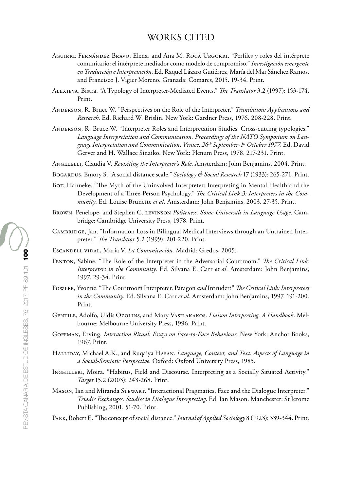# WORKS CITED

- Aguirre Fernández Bravo, Elena, and Ana M. Roca Urgorri. "Perfiles y roles del intérprete comunitario: el intérprete mediador como modelo de compromiso." *Investigación emergente en Traducción e Interpretación*. Ed. Raquel Lázaro Gutiérrez, María del Mar Sánchez Ramos, and Francisco J. Vigier Moreno. Granada: Comares, 2015. 19-34. Print.
- Alexieva, Bistra. "A Typology of Interpreter-Mediated Events." *The Translator* 3.2 (1997): 153-174. Print.
- Anderson, R. Bruce W. "Perspectives on the Role of the Interpreter." *Translation: Applications and Research*. Ed. Richard W. Brislin. New York: Gardner Press, 1976. 208-228. Print.
- Anderson, R. Bruce W. "Interpreter Roles and Interpretation Studies: Cross-cutting typologies." *Language Interpretation and Communication. Proceedings of the NATO Symposium on Language Interpretation and Communication, Venice, 26th September-1st October 1977*. Ed. David Gerver and H. Wallace Sinaiko. New York: Plenum Press, 1978. 217-231. Print.
- Angelelli, Claudia V. *Revisiting the Interpreter's Role*. Amsterdam: John Benjamins, 2004. Print.
- Bogardus, Emory S. "A social distance scale." *Sociology & Social Research* 17 (1933): 265-271. Print.
- BOT, Hanneke. "The Myth of the Uninvolved Interpreter: Interpreting in Mental Health and the Development of a Three-Person Psychology." *The Critical Link 3: Interpreters in the Community*. Ed. Louise Brunette *et al.* Amsterdam: John Benjamins, 2003. 27-35. Print.
- Brown, Penelope, and Stephen C. levinson *Politeness. Some Universals in Language Usage*. Cambridge: Cambridge University Press, 1978. Print.
- Cambridge, Jan. "Information Loss in Bilingual Medical Interviews through an Untrained Interpreter." *The Translator* 5.2 (1999): 201-220. Print.
- Escandell vidal, María V. *La Comunicación.* Madrid: Gredos, 2005.
- Fenton, Sabine. "The Role of the Interpreter in the Adversarial Courtroom." *The Critical Link: Interpreters in the Community*. Ed. Silvana E. Carr *et al.* Amsterdam: John Benjamins, 1997. 29-34. Print.
- Fowler, Yvonne. "The Courtroom Interpreter. Paragon *and* Intruder?" *The Critical Link: Interpreters in the Community*. Ed. Silvana E. Carr *et al.* Amsterdam: John Benjamins, 1997. 191-200. Print.
- Gentile, Adolfo, Uldis Ozolins, and Mary Vasilakakos. *Liaison Interpreting. A Handbook*. Melbourne: Melbourne University Press, 1996. Print.
- Goffman, Erving. *Interaction Ritual: Essays on Face-to-Face Behaviour*. New York: Anchor Books, 1967. Print.
- Halliday, Michael A.K., and Ruqaiya Hasan. *Language, Context, and Text: Aspects of Language in a Social-Semiotic Perspective*. Oxford: Oxford University Press, 1985.
- Inghilleri, Moira. "Habitus, Field and Discourse. Interpreting as a Socially Situated Activity." *Target* 15.2 (2003): 243-268. Print.
- Mason, Ian and Miranda Stewart. ["Interactional Pragmatics, Face and the Dialogue Interpreter](https://pureapps2.hw.ac.uk/portal/en/publications/interactional-pragmatics-face-and-the-dialogue-interpreter(7620e0f6-98e3-4688-a9fe-9d9c3674a4dd).html)." *Triadic Exchanges. Studies in Dialogue Interpreting*. Ed. Ian Mason. Manchester: St Jerome Publishing, 2001. 51-70. Print.
- Park, Robert E. "The concept of social distance." *Journal of Applied Sociology* 8 (1923): 339-344. Print.